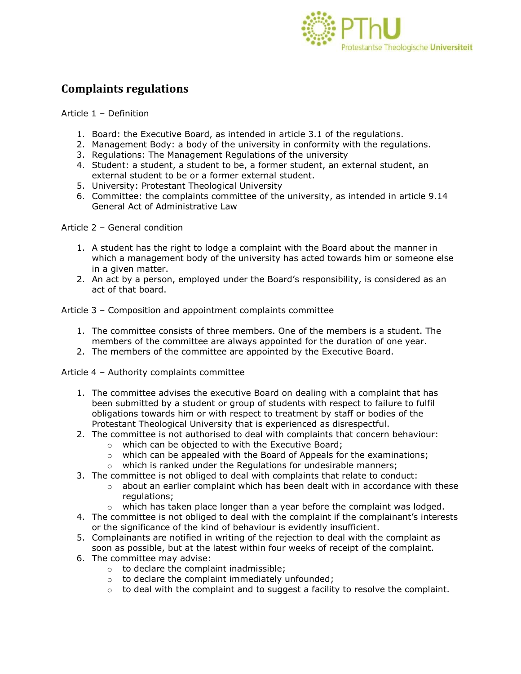

## **Complaints regulations**

Article 1 – Definition

- 1. Board: the Executive Board, as intended in article 3.1 of the regulations.
- 2. Management Body: a body of the university in conformity with the regulations.
- 3. Regulations: The Management Regulations of the university
- 4. Student: a student, a student to be, a former student, an external student, an external student to be or a former external student.
- 5. University: Protestant Theological University
- 6. Committee: the complaints committee of the university, as intended in article 9.14 General Act of Administrative Law

Article 2 – General condition

- 1. A student has the right to lodge a complaint with the Board about the manner in which a management body of the university has acted towards him or someone else in a given matter.
- 2. An act by a person, employed under the Board's responsibility, is considered as an act of that board.

Article 3 – Composition and appointment complaints committee

- 1. The committee consists of three members. One of the members is a student. The members of the committee are always appointed for the duration of one year.
- 2. The members of the committee are appointed by the Executive Board.

Article 4 – Authority complaints committee

- 1. The committee advises the executive Board on dealing with a complaint that has been submitted by a student or group of students with respect to failure to fulfil obligations towards him or with respect to treatment by staff or bodies of the Protestant Theological University that is experienced as disrespectful.
- 2. The committee is not authorised to deal with complaints that concern behaviour:
	- o which can be objected to with the Executive Board;
	- $\circ$  which can be appealed with the Board of Appeals for the examinations;
	- o which is ranked under the Regulations for undesirable manners;
- 3. The committee is not obliged to deal with complaints that relate to conduct:
	- $\circ$  about an earlier complaint which has been dealt with in accordance with these regulations;
	- $\circ$  which has taken place longer than a year before the complaint was lodged.
- 4. The committee is not obliged to deal with the complaint if the complainant's interests or the significance of the kind of behaviour is evidently insufficient.
- 5. Complainants are notified in writing of the rejection to deal with the complaint as soon as possible, but at the latest within four weeks of receipt of the complaint.
- 6. The committee may advise:
	- o to declare the complaint inadmissible;
	- o to declare the complaint immediately unfounded;
	- $\circ$  to deal with the complaint and to suggest a facility to resolve the complaint.